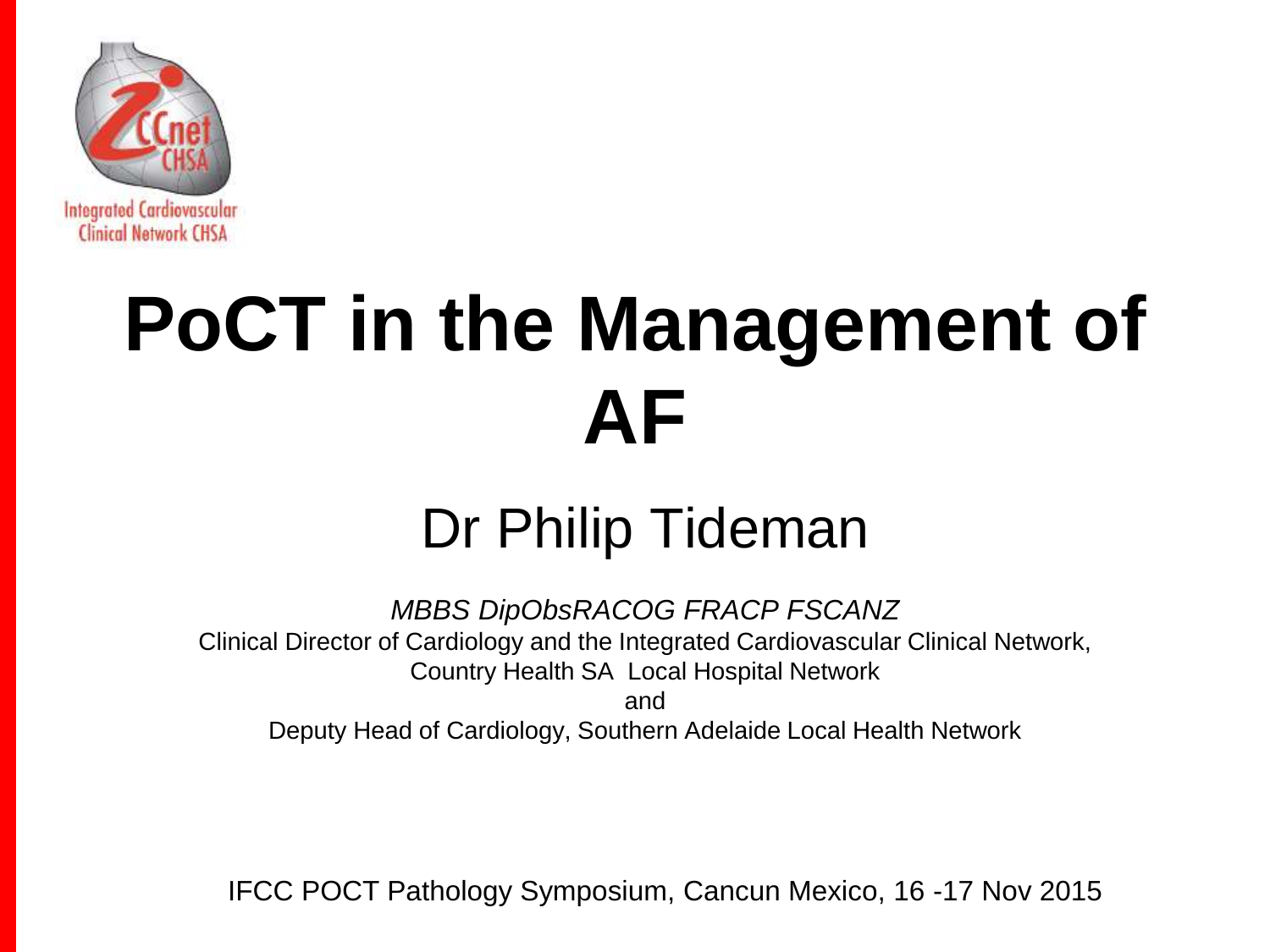

# **PoCT in the Management of AF**

#### Dr Philip Tideman

*MBBS DipObsRACOG FRACP FSCANZ* Clinical Director of Cardiology and the Integrated Cardiovascular Clinical Network, Country Health SA Local Hospital Network and Deputy Head of Cardiology, Southern Adelaide Local Health Network

IFCC POCT Pathology Symposium, Cancun Mexico, 16 -17 Nov 2015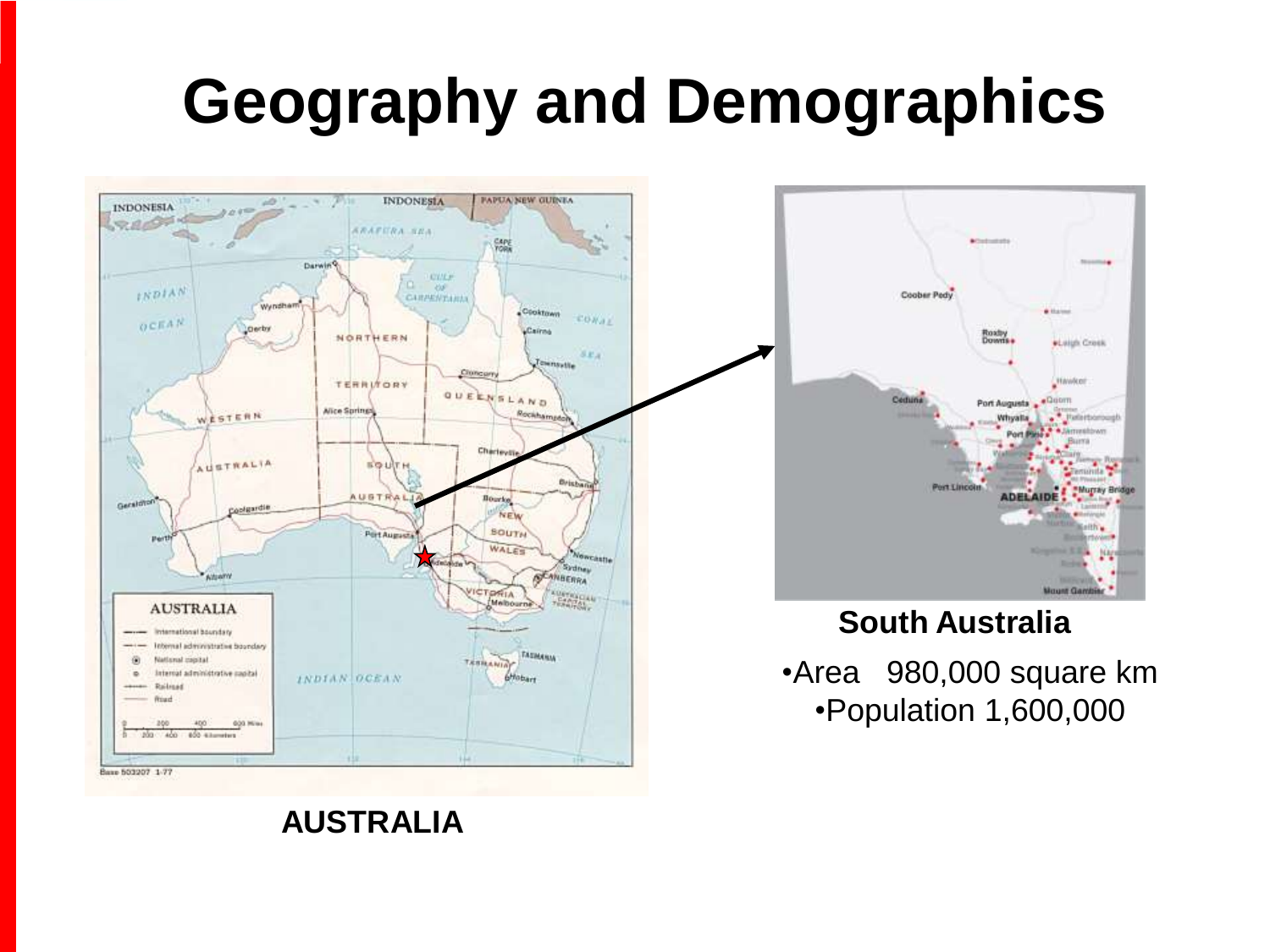#### **Geography and Demographics**





#### **South Australia**

•Area 980,000 square km •Population 1,600,000

#### **AUSTRALIA**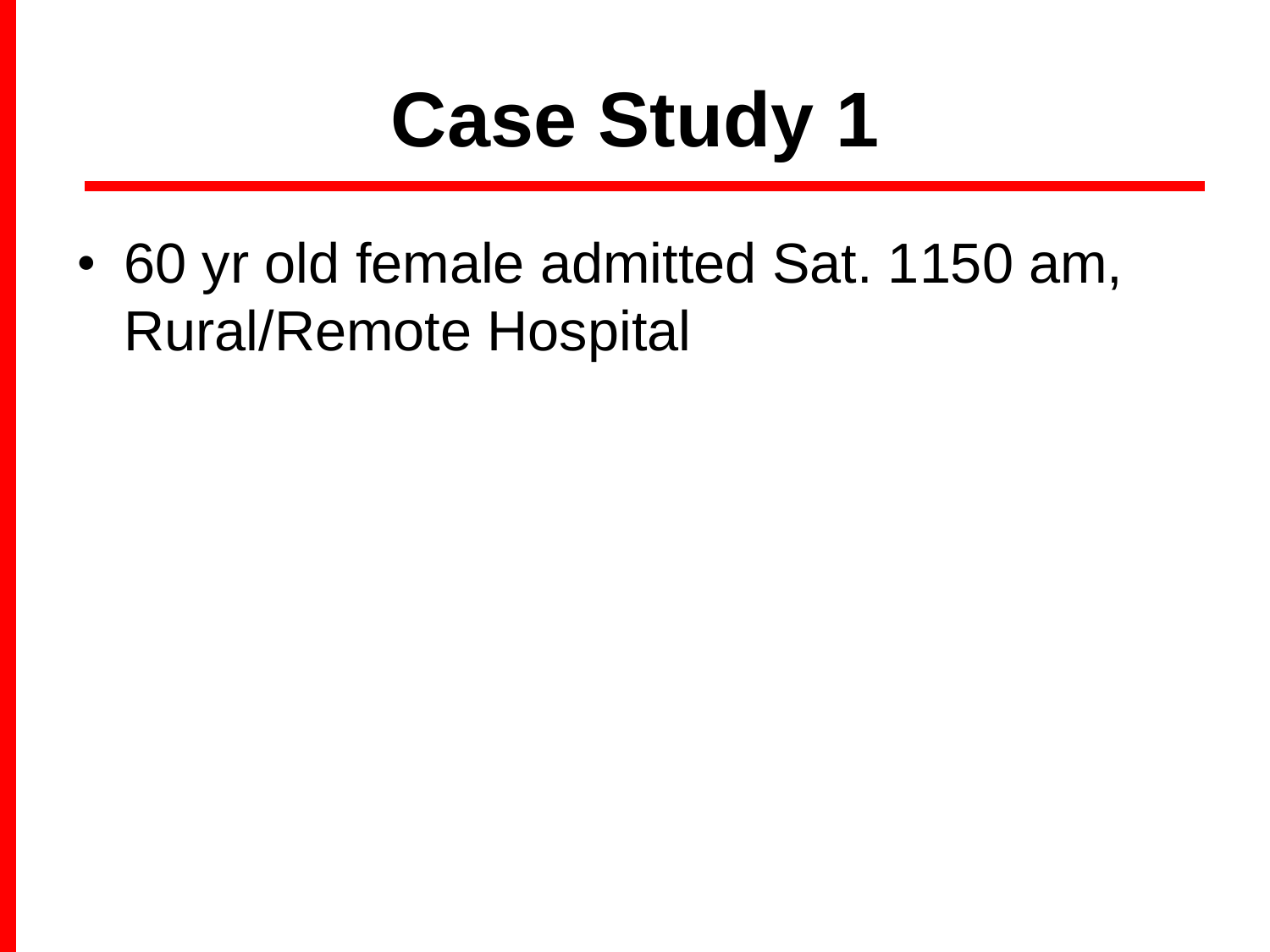• 60 yr old female admitted Sat. 1150 am, Rural/Remote Hospital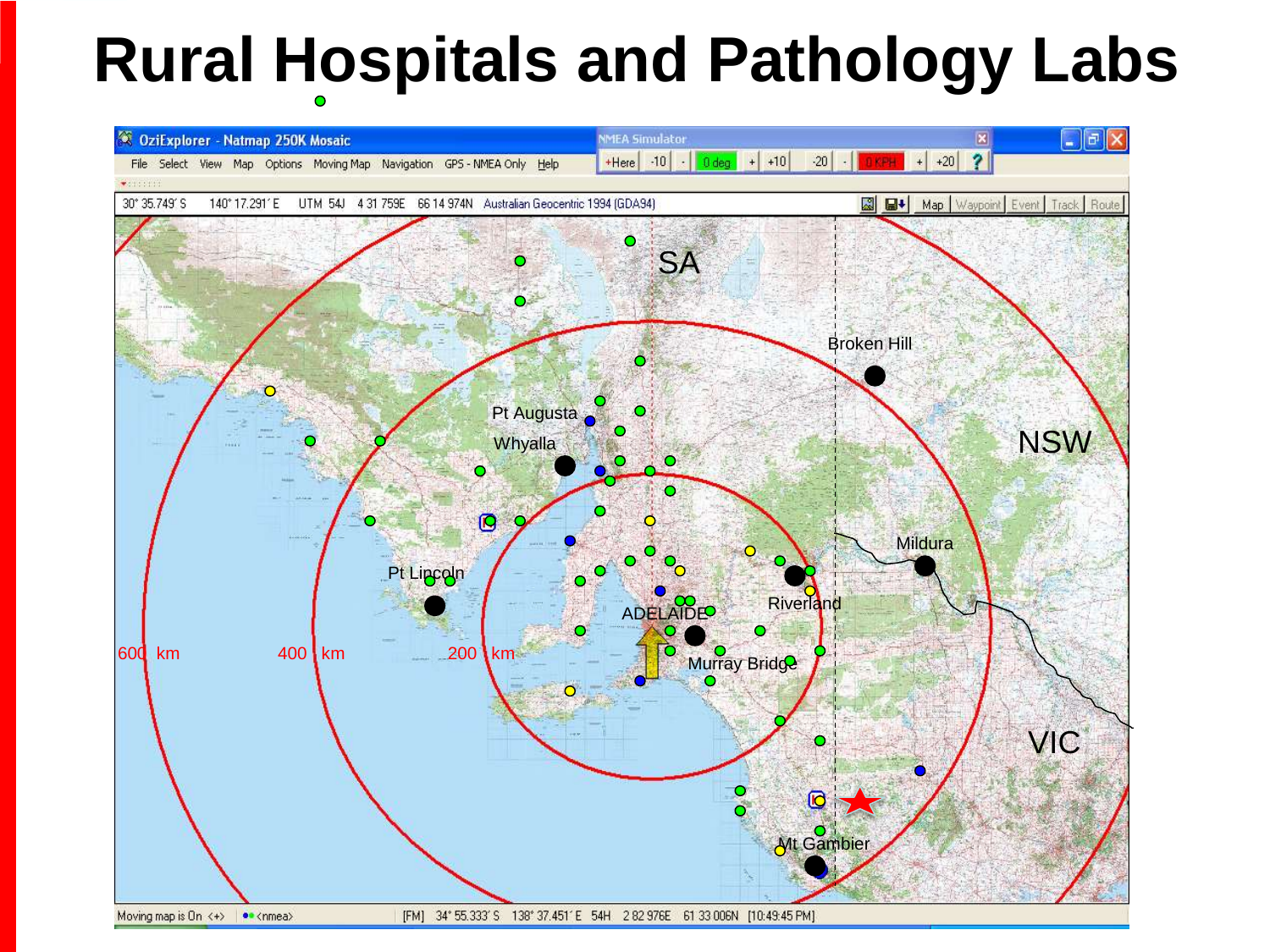#### **Rural Hospitals and Pathology Labs**

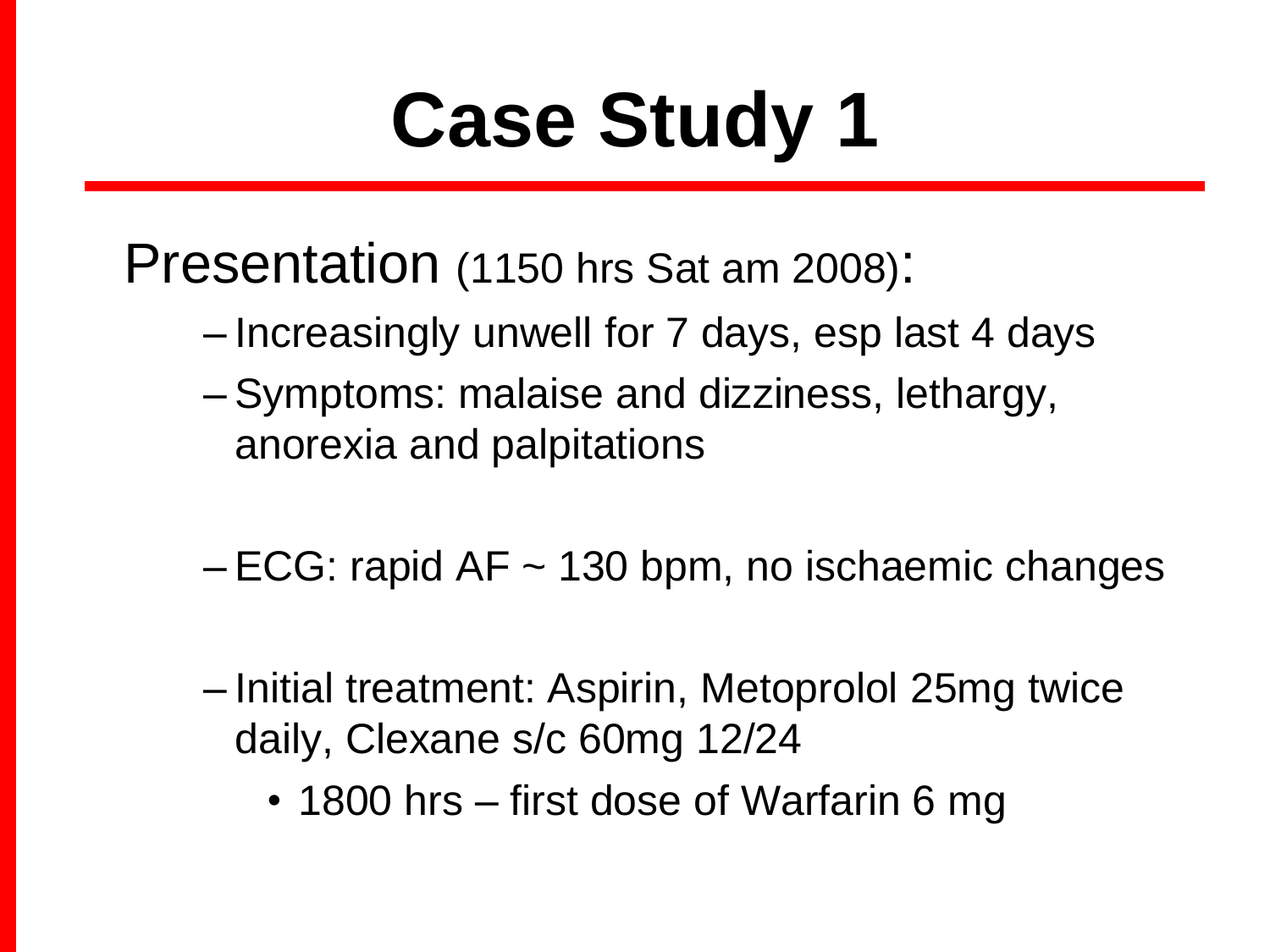Presentation (1150 hrs Sat am 2008):

- Increasingly unwell for 7 days, esp last 4 days
- Symptoms: malaise and dizziness, lethargy, anorexia and palpitations
- $-ECG$ : rapid AF  $\sim$  130 bpm, no ischaemic changes
- Initial treatment: Aspirin, Metoprolol 25mg twice daily, Clexane s/c 60mg 12/24
	- 1800 hrs first dose of Warfarin 6 mg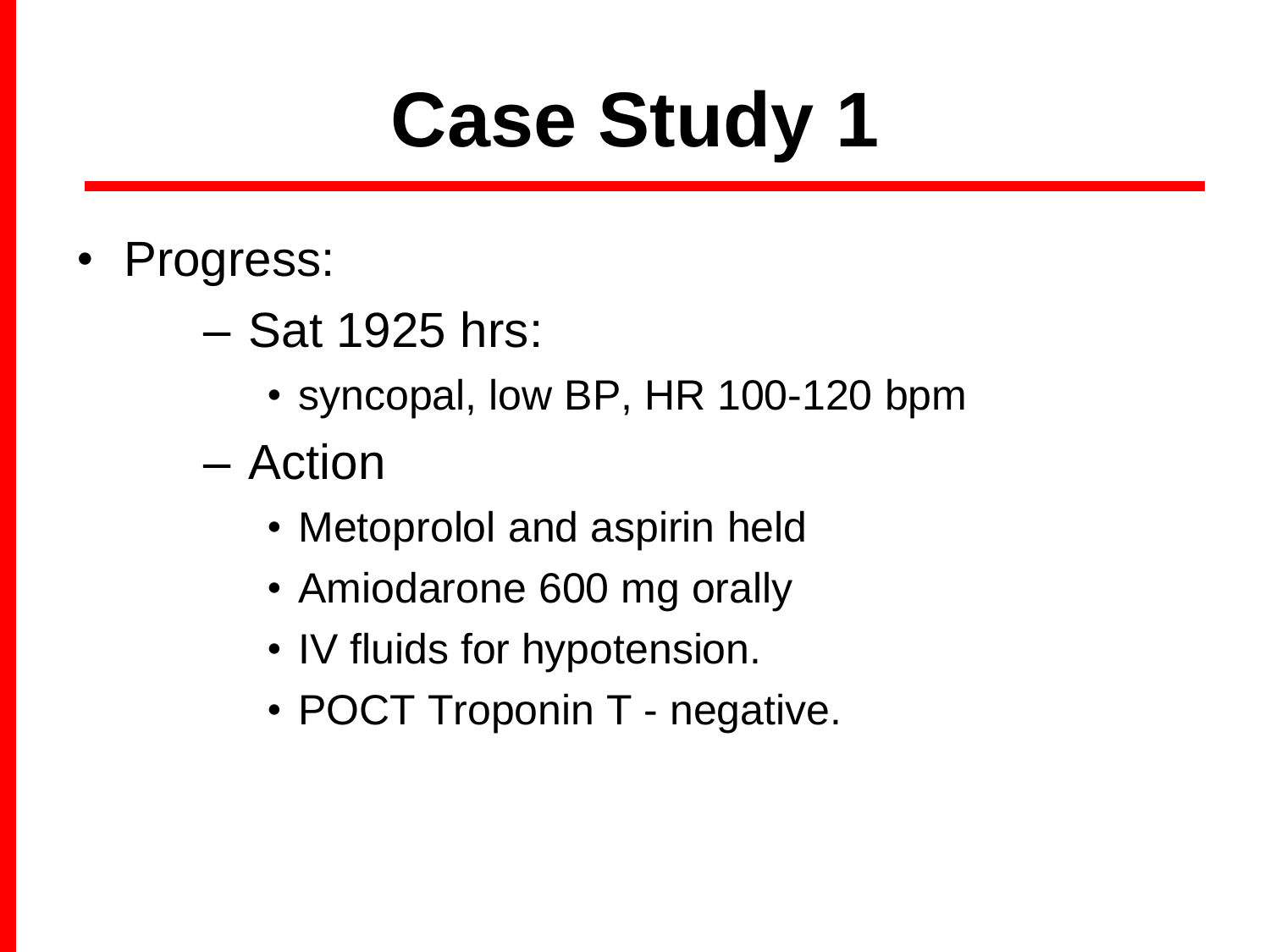- Progress:
	- Sat 1925 hrs:
		- syncopal, low BP, HR 100-120 bpm
	- Action
		- Metoprolol and aspirin held
		- Amiodarone 600 mg orally
		- IV fluids for hypotension.
		- POCT Troponin T negative.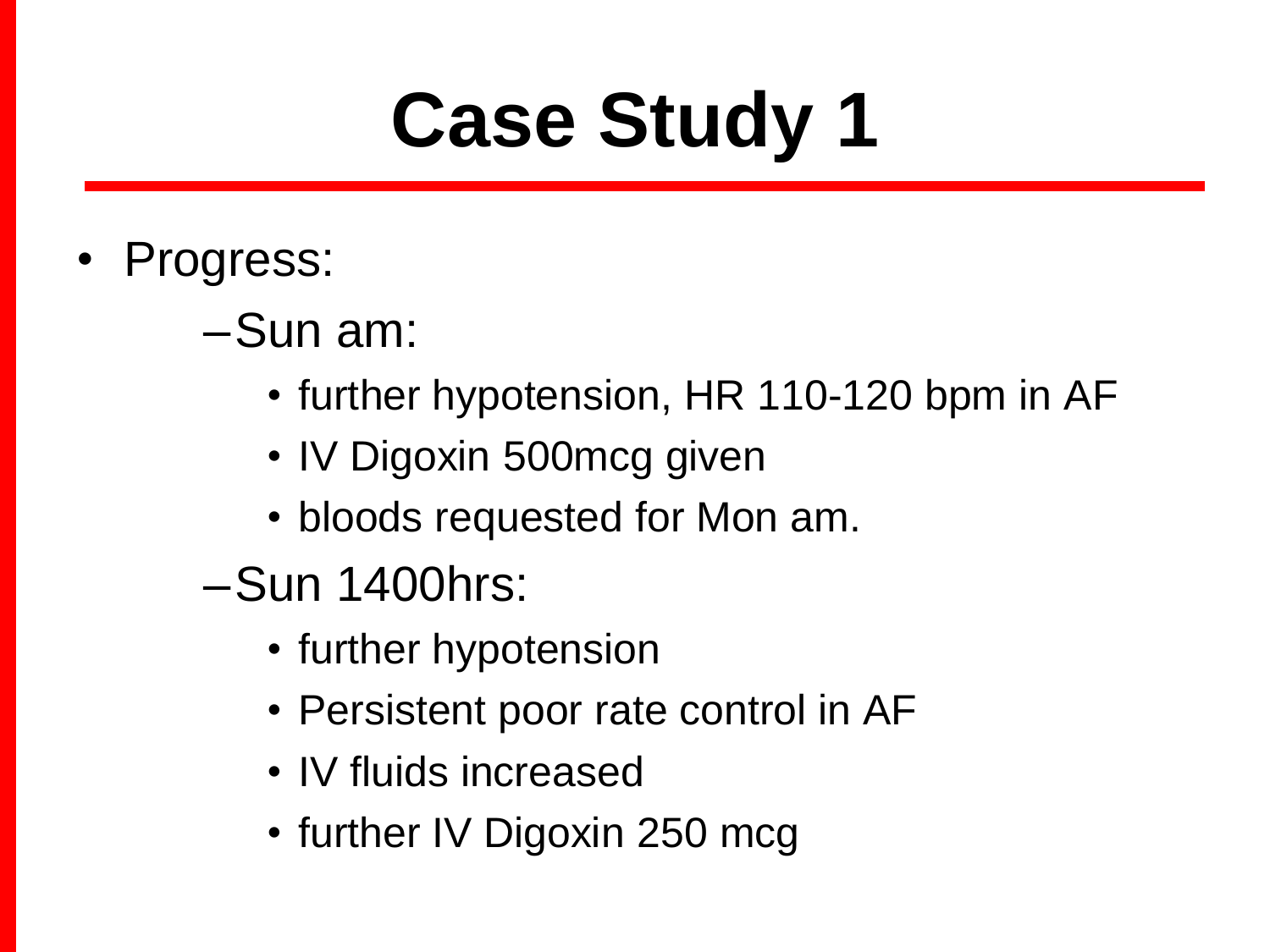- Progress:
	- –Sun am:
		- further hypotension, HR 110-120 bpm in AF
		- IV Digoxin 500 mcg given
		- bloods requested for Mon am.
	- –Sun 1400hrs:
		- further hypotension
		- Persistent poor rate control in AF
		- IV fluids increased
		- further IV Digoxin 250 mcg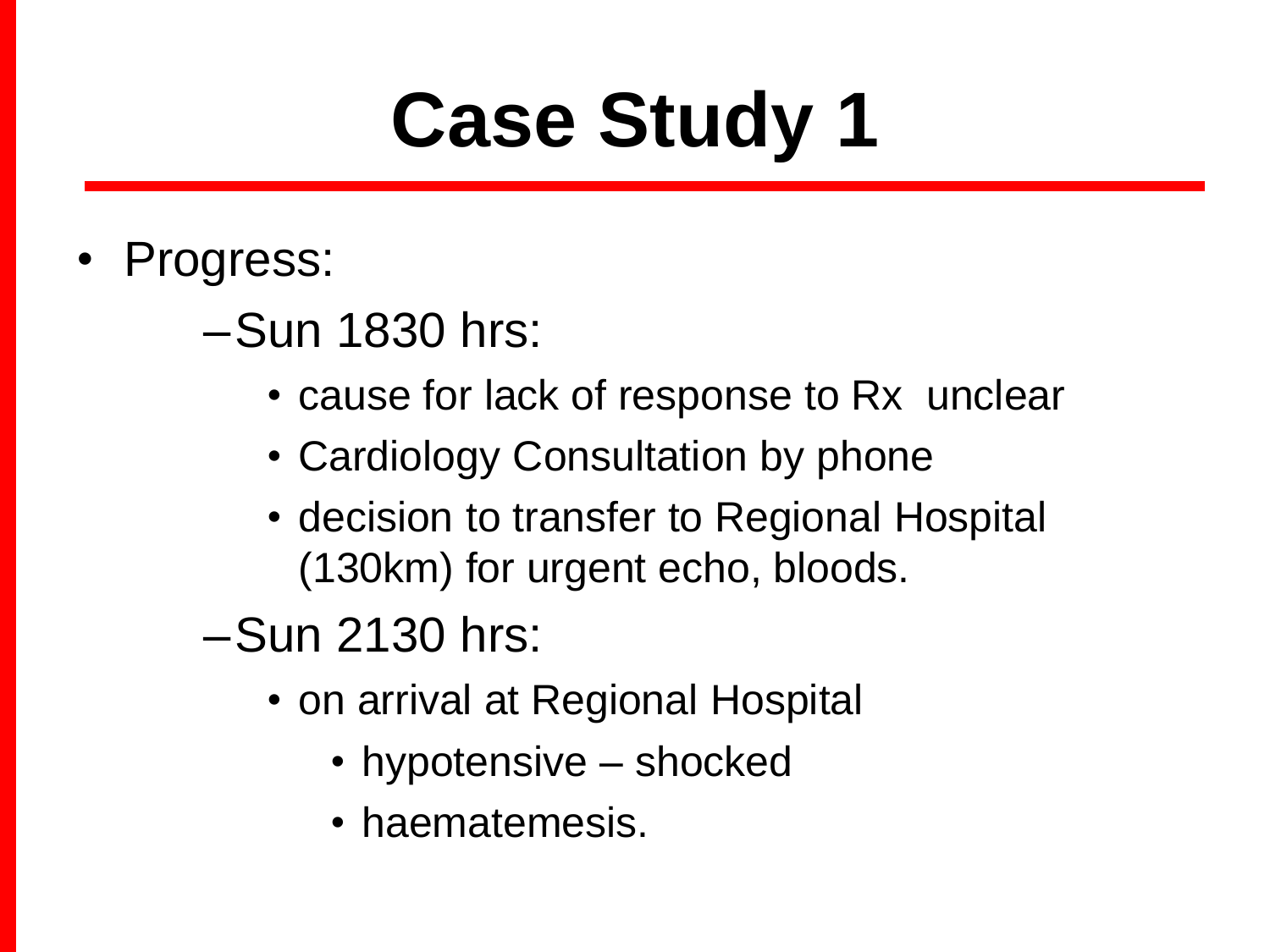- Progress:
	- –Sun 1830 hrs:
		- cause for lack of response to Rx unclear
		- Cardiology Consultation by phone
		- decision to transfer to Regional Hospital (130km) for urgent echo, bloods.
	- –Sun 2130 hrs:
		- on arrival at Regional Hospital
			- hypotensive shocked
			- haematemesis.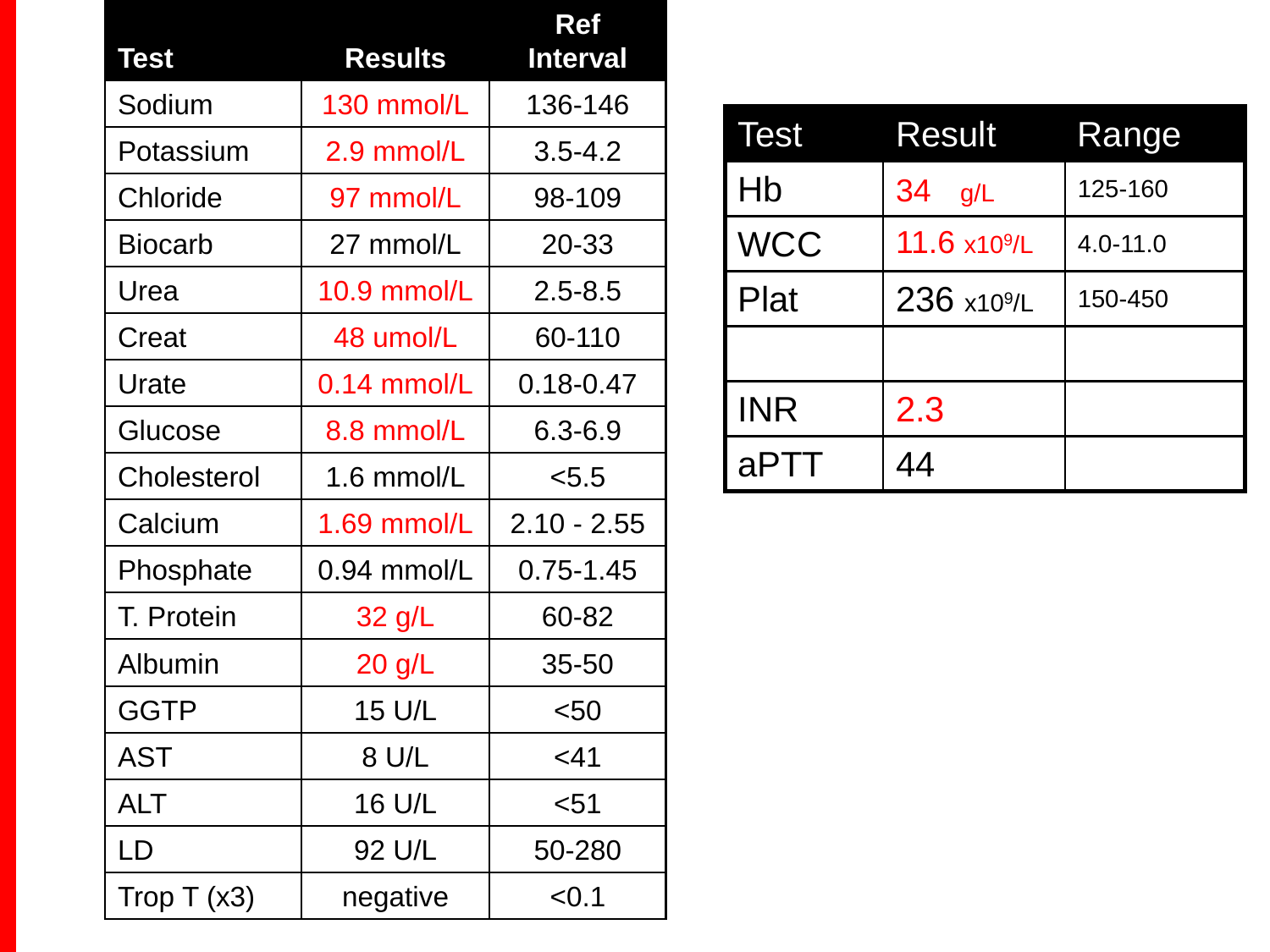| <b>Test</b>    | <b>Results</b> | <b>Ref</b><br><b>Interval</b> |
|----------------|----------------|-------------------------------|
| Sodium         | 130 mmol/L     | 136-146                       |
| Potassium      | 2.9 mmol/L     | $3.5 - 4.2$                   |
| Chloride       | 97 mmol/L      | 98-109                        |
| <b>Biocarb</b> | 27 mmol/L      | 20-33                         |
| Urea           | 10.9 mmol/L    | $2.5 - 8.5$                   |
| Creat          | 48 umol/L      | 60-110                        |
| Urate          | $0.14$ mmol/L  | $0.18 - 0.47$                 |
| Glucose        | 8.8 mmol/L     | $6.3 - 6.9$                   |
| Cholesterol    | 1.6 mmol/L     | < 5.5                         |
| Calcium        | 1.69 mmol/L    | $2.10 - 2.55$                 |
| Phosphate      | $0.94$ mmol/L  | $0.75 - 1.45$                 |
| T. Protein     | 32 g/L         | 60-82                         |
| Albumin        | 20 g/L         | 35-50                         |
| <b>GGTP</b>    | 15 U/L         | < 50                          |
| <b>AST</b>     | 8 U/L          | $<$ 41                        |
| <b>ALT</b>     | 16 U/L         | $51$                          |
| LD             | 92 U/L         | 50-280                        |
| Trop $T(x3)$   | negative       | < 0.1                         |

| <b>Test</b> | <b>Result</b>           | Range        |
|-------------|-------------------------|--------------|
| Hb          | 34<br>g/L               | 125-160      |
| <b>WCC</b>  | $11.6 \times 10^9$ /L   | $4.0 - 11.0$ |
| Plat        | 236 x10 <sup>9</sup> /L | 150-450      |
|             |                         |              |
| <b>INR</b>  | 2.3                     |              |
| aPTT        | 44                      |              |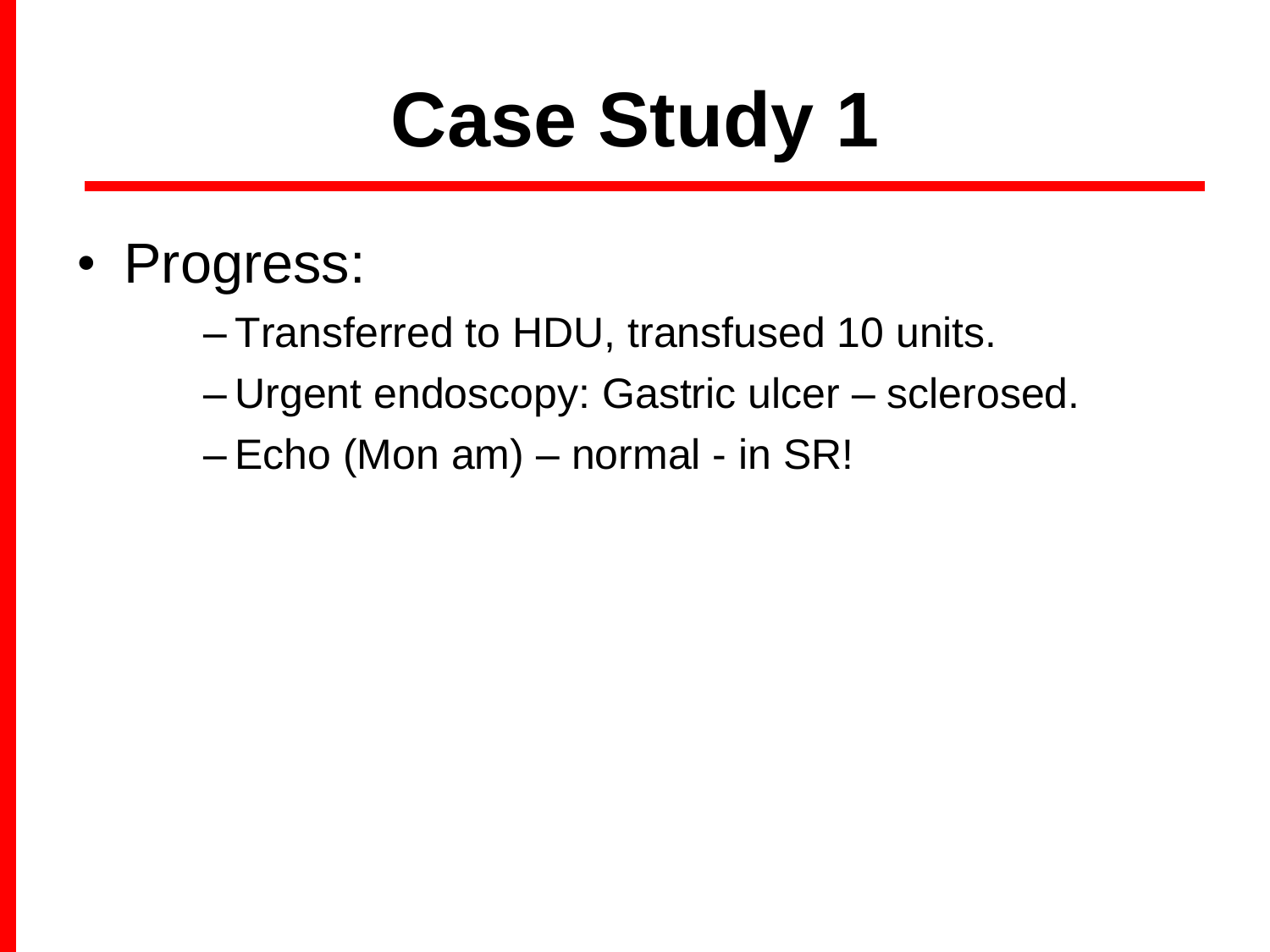- Progress:
	- Transferred to HDU, transfused 10 units.
	- Urgent endoscopy: Gastric ulcer sclerosed.
	- Echo (Mon am) normal in SR!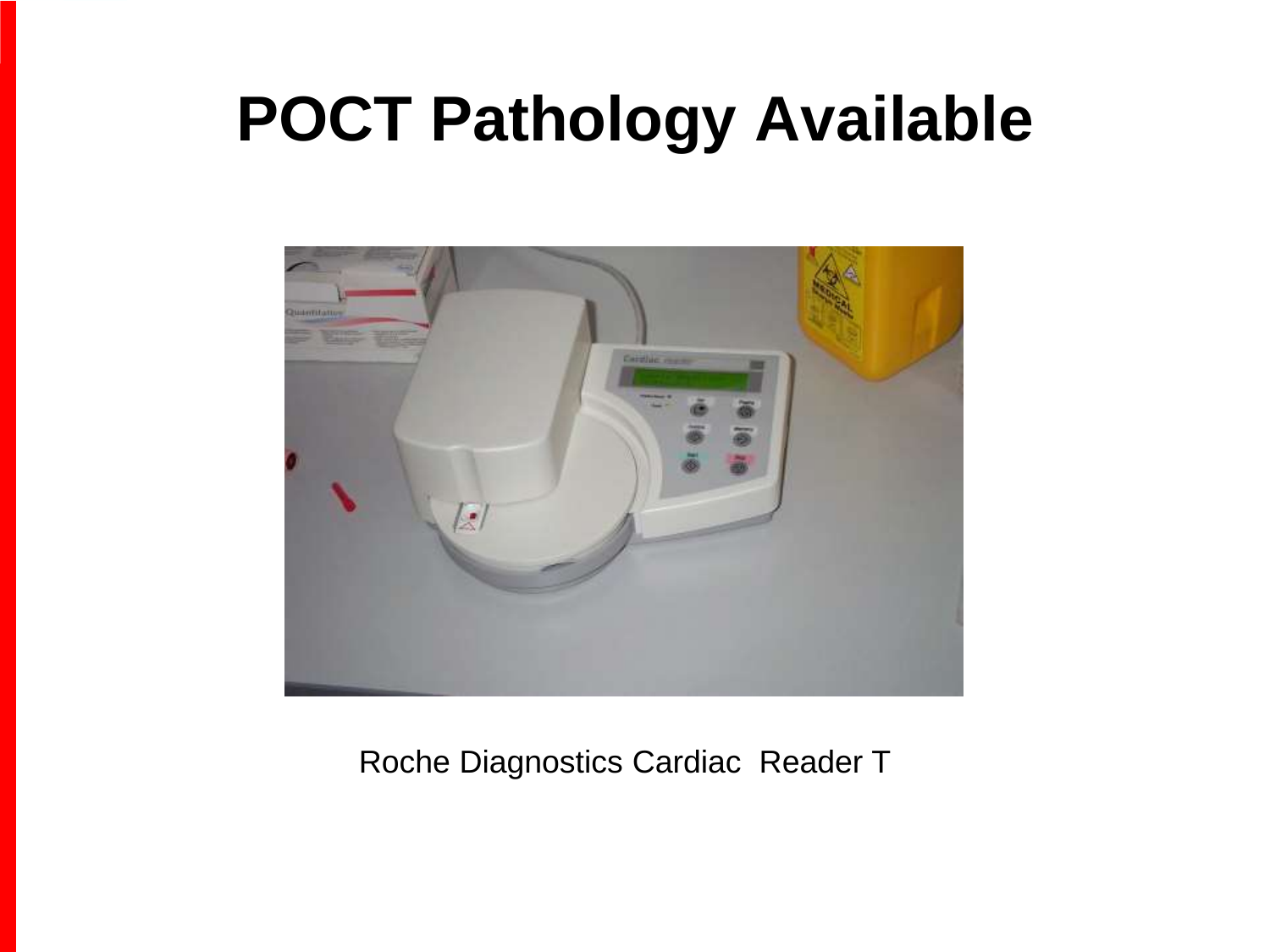#### **POCT Pathology Available**



#### Roche Diagnostics Cardiac Reader T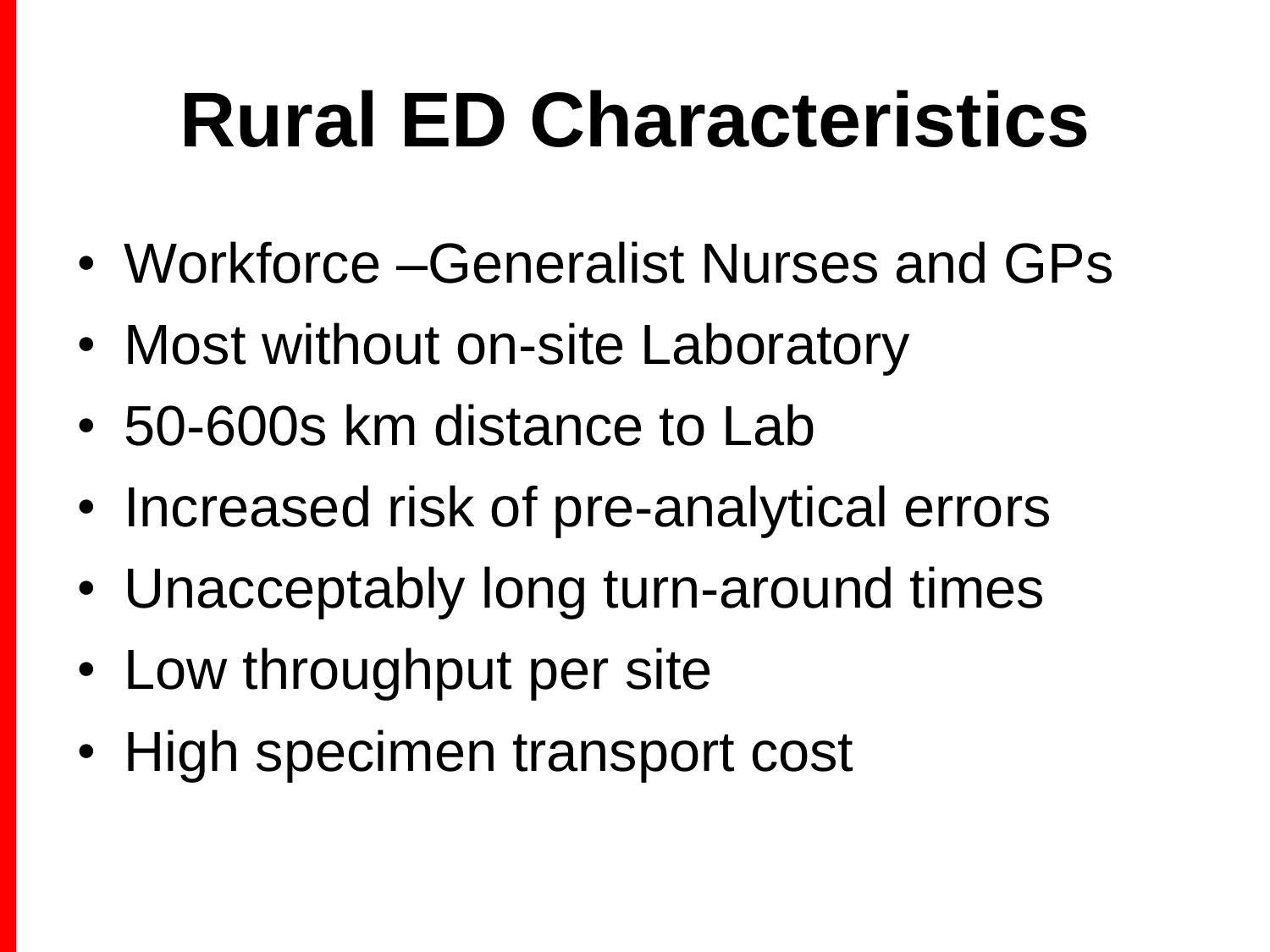# **Rural ED Characteristics**

- Workforce –Generalist Nurses and GPs
- Most without on-site Laboratory
- 50-600s km distance to Lab
- Increased risk of pre-analytical errors
- Unacceptably long turn-around times
- Low throughput per site
- High specimen transport cost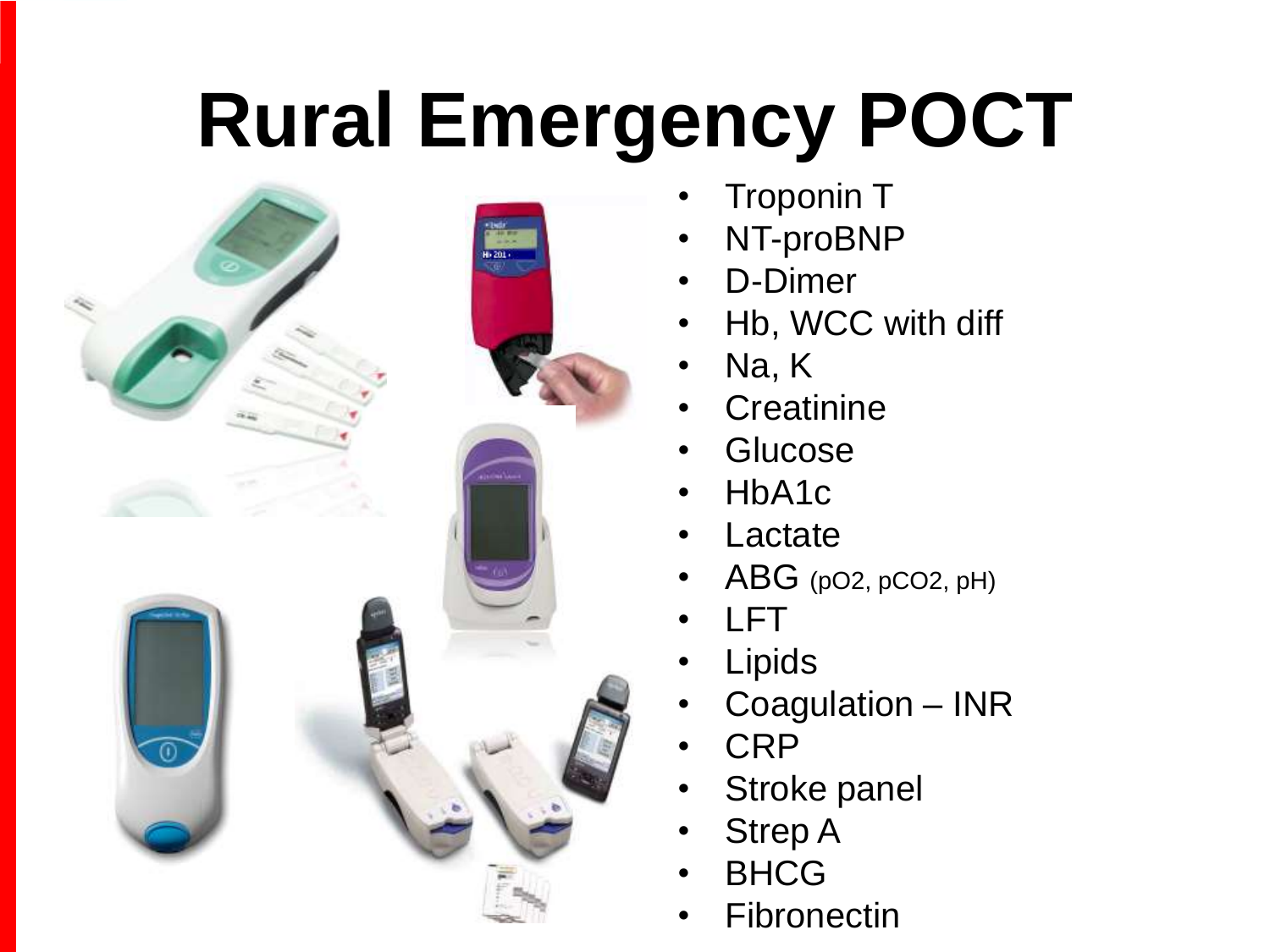### **Rural Emergency POCT**



- **Troponin T**
- NT-proBNP
- D-Dimer
- Hb, WCC with diff
- Na, K
- **Creatinine**
- **Glucose**
- HbA1c
- **Lactate**
- $ABG$  (pO2, pCO2, pH)
- LFT
- **Lipids**
- Coagulation INR
- CRP
- Stroke panel
- **Strep A**
- **BHCG**
- **Fibronectin**